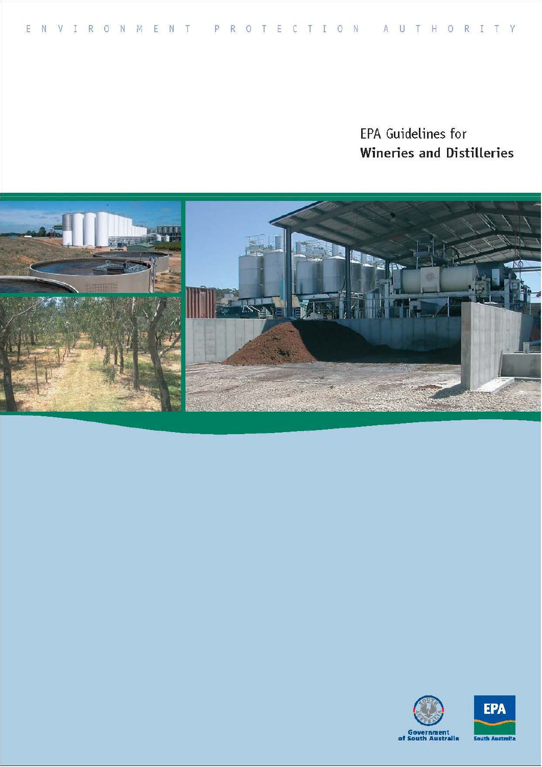# EPA Guidelines for Wineries and Distilleries





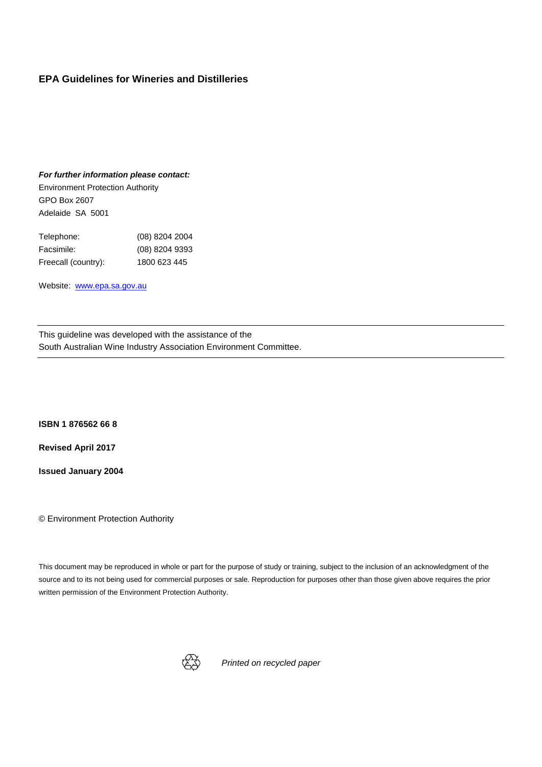#### **EPA Guidelines for Wineries and Distilleries**

#### *For further information please contact:*

Environment Protection Authority GPO Box 2607 Adelaide SA 5001

| Telephone:          | (08) 8204 2004 |
|---------------------|----------------|
| Facsimile:          | (08) 8204 9393 |
| Freecall (country): | 1800 623 445   |

Website: www.epa.sa.gov.au

This guideline was developed with the assistance of the South Australian Wine Industry Association Environment Committee.

**ISBN 1 876562 66 8** 

 **Revised April 2017** 

**Issued January 2004** 

© Environment Protection Authority

 This document may be reproduced in whole or part for the purpose of study or training, subject to the inclusion of an acknowledgment of the source and to its not being used for commercial purposes or sale. Reproduction for purposes other than those given above requires the prior written permission of the Environment Protection Authority.



*Printed on recycled paper*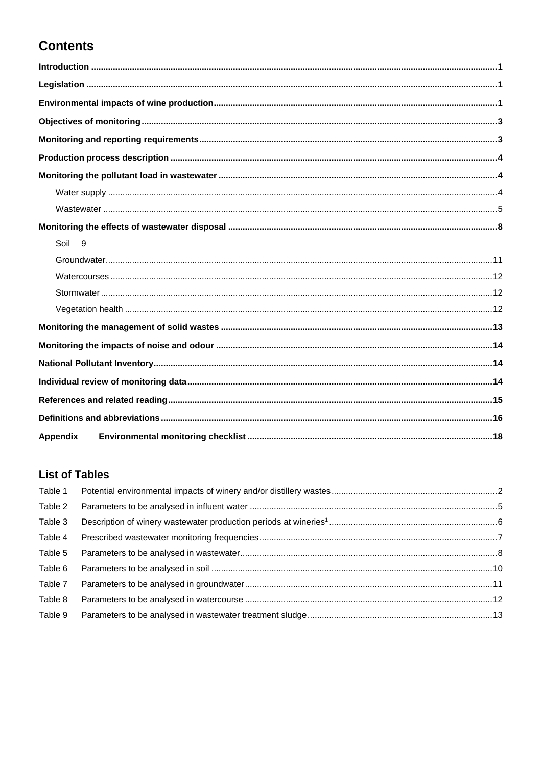# **Contents**

| Soil 9          |  |
|-----------------|--|
|                 |  |
|                 |  |
|                 |  |
|                 |  |
|                 |  |
|                 |  |
|                 |  |
|                 |  |
|                 |  |
|                 |  |
| <b>Appendix</b> |  |

### **List of Tables**

| Table 1 |  |
|---------|--|
| Table 2 |  |
| Table 3 |  |
| Table 4 |  |
| Table 5 |  |
| Table 6 |  |
| Table 7 |  |
| Table 8 |  |
| Table 9 |  |
|         |  |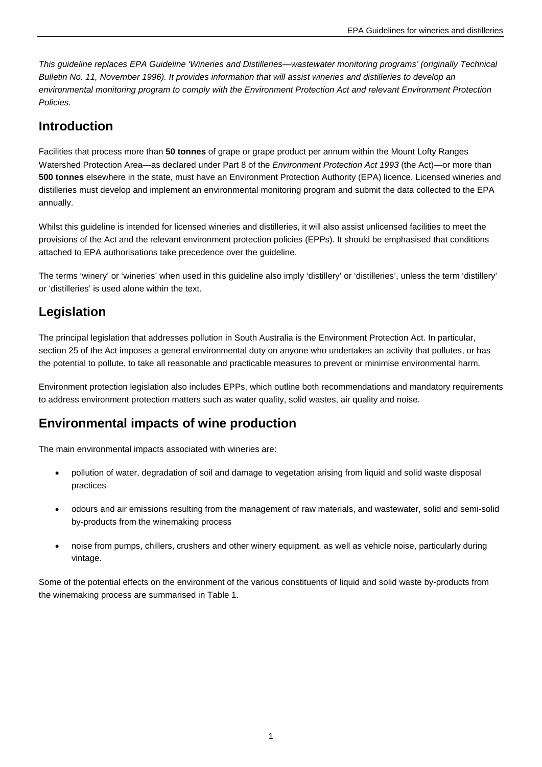*This guideline replaces EPA Guideline 'Wineries and Distilleries—wastewater monitoring programs' (originally Technical Bulletin No. 11, November 1996). It provides information that will assist wineries and distilleries to develop an environmental monitoring program to comply with the Environment Protection Act and relevant Environment Protection Policies.* 

### <span id="page-4-0"></span>**Introduction**

 Facilities that process more than **50 tonnes** of grape or grape product per annum within the Mount Lofty Ranges Watershed Protection Area—as declared under Part 8 of the *Environment Protection Act 1993* (the Act)—or more than **500 tonnes** elsewhere in the state, must have an Environment Protection Authority (EPA) licence. Licensed wineries and distilleries must develop and implement an environmental monitoring program and submit the data collected to the EPA annually.

 Whilst this guideline is intended for licensed wineries and distilleries, it will also assist unlicensed facilities to meet the provisions of the Act and the relevant environment protection policies (EPPs). It should be emphasised that conditions attached to EPA authorisations take precedence over the guideline.

 The terms 'winery' or 'wineries' when used in this guideline also imply 'distillery' or 'distilleries', unless the term 'distillery' or 'distilleries' is used alone within the text.

### <span id="page-4-1"></span>**Legislation**

 The principal legislation that addresses pollution in South Australia is the Environment Protection Act. In particular, section 25 of the Act imposes a general environmental duty on anyone who undertakes an activity that pollutes, or has the potential to pollute, to take all reasonable and practicable measures to prevent or minimise environmental harm.

 Environment protection legislation also includes EPPs, which outline both recommendations and mandatory requirements to address environment protection matters such as water quality, solid wastes, air quality and noise.

### <span id="page-4-2"></span> **Environmental impacts of wine production**

The main environmental impacts associated with wineries are:

- • pollution of water, degradation of soil and damage to vegetation arising from liquid and solid waste disposal practices
- • odours and air emissions resulting from the management of raw materials, and wastewater, solid and semi-solid by-products from the winemaking process
- • noise from pumps, chillers, crushers and other winery equipment, as well as vehicle noise, particularly during vintage.

 Some of the potential effects on the environment of the various constituents of liquid and solid waste by-products from the winemaking process are summarised in Table 1.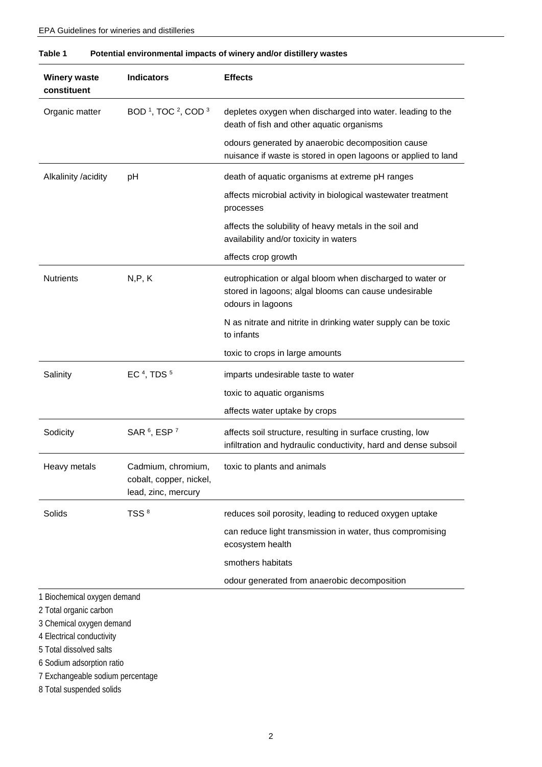# EPA Guidelines for wineries and distilleries

| <b>Winery waste</b><br>constituent                    | <b>Indicators</b>                                                    | <b>Effects</b>                                                                                                                          |
|-------------------------------------------------------|----------------------------------------------------------------------|-----------------------------------------------------------------------------------------------------------------------------------------|
| Organic matter                                        | BOD <sup>1</sup> , TOC <sup>2</sup> , COD <sup>3</sup>               | depletes oxygen when discharged into water. leading to the<br>death of fish and other aquatic organisms                                 |
|                                                       |                                                                      | odours generated by anaerobic decomposition cause<br>nuisance if waste is stored in open lagoons or applied to land                     |
| Alkalinity /acidity                                   | pH                                                                   | death of aquatic organisms at extreme pH ranges                                                                                         |
|                                                       |                                                                      | affects microbial activity in biological wastewater treatment<br>processes                                                              |
|                                                       |                                                                      | affects the solubility of heavy metals in the soil and<br>availability and/or toxicity in waters                                        |
|                                                       |                                                                      | affects crop growth                                                                                                                     |
| <b>Nutrients</b>                                      | N, P, K                                                              | eutrophication or algal bloom when discharged to water or<br>stored in lagoons; algal blooms can cause undesirable<br>odours in lagoons |
|                                                       |                                                                      | N as nitrate and nitrite in drinking water supply can be toxic<br>to infants                                                            |
|                                                       |                                                                      | toxic to crops in large amounts                                                                                                         |
| Salinity                                              | EC <sup>4</sup> , TDS <sup>5</sup>                                   | imparts undesirable taste to water                                                                                                      |
|                                                       |                                                                      | toxic to aquatic organisms                                                                                                              |
|                                                       |                                                                      | affects water uptake by crops                                                                                                           |
| Sodicity                                              | SAR <sup>6</sup> , ESP <sup>7</sup>                                  | affects soil structure, resulting in surface crusting, low<br>infiltration and hydraulic conductivity, hard and dense subsoil           |
| Heavy metals                                          | Cadmium, chromium,<br>cobalt, copper, nickel,<br>lead, zinc, mercury | toxic to plants and animals                                                                                                             |
| Solids                                                | TSS <sup>8</sup>                                                     | reduces soil porosity, leading to reduced oxygen uptake                                                                                 |
|                                                       |                                                                      | can reduce light transmission in water, thus compromising<br>ecosystem health                                                           |
|                                                       |                                                                      | smothers habitats                                                                                                                       |
|                                                       |                                                                      | odour generated from anaerobic decomposition                                                                                            |
| 1 Biochemical oxygen demand<br>2 Total organic carbon |                                                                      |                                                                                                                                         |

<span id="page-5-0"></span>

| Table 1 | Potential environmental impacts of winery and/or distillery wastes |
|---------|--------------------------------------------------------------------|
|---------|--------------------------------------------------------------------|

3 Chemical oxygen demand

4 Electrical conductivity

5 Total dissolved salts

6 Sodium adsorption ratio

7 Exchangeable sodium percentage

8 Total suspended solids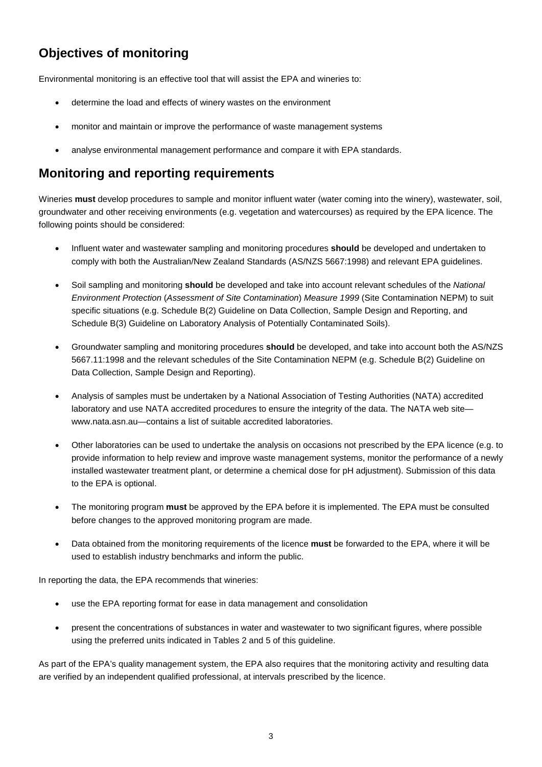## <span id="page-6-0"></span>**Objectives of monitoring**

Environmental monitoring is an effective tool that will assist the EPA and wineries to:

- determine the load and effects of winery wastes on the environment
- monitor and maintain or improve the performance of waste management systems
- • analyse environmental management performance and compare it with EPA standards.

### <span id="page-6-1"></span>**Monitoring and reporting requirements**

 Wineries **must** develop procedures to sample and monitor influent water (water coming into the winery), wastewater, soil, groundwater and other receiving environments (e.g. vegetation and watercourses) as required by the EPA licence. The following points should be considered:

- • Influent water and wastewater sampling and monitoring procedures **should** be developed and undertaken to comply with both the Australian/New Zealand Standards (AS/NZS 5667:1998) and relevant EPA guidelines.
- • Soil sampling and monitoring **should** be developed and take into account relevant schedules of the *National Environment Protection* (*Assessment of Site Contamination*) *Measure 1999* (Site Contamination NEPM) to suit specific situations (e.g. Schedule B(2) Guideline on Data Collection, Sample Design and Reporting, and Schedule B(3) Guideline on Laboratory Analysis of Potentially Contaminated Soils).
- 5667.11:1998 and the relevant schedules of the Site Contamination NEPM (e.g. Schedule B(2) Guideline on • Groundwater sampling and monitoring procedures **should** be developed, and take into account both the AS/NZS Data Collection, Sample Design and Reporting).
- • Analysis of samples must be undertaken by a National Association of Testing Authorities (NATA) accredited laboratory and use NATA accredited procedures to ensure the integrity of the data. The NATA web site— www.nata.asn.au—contains a list of suitable accredited laboratories.
- • Other laboratories can be used to undertake the analysis on occasions not prescribed by the EPA licence (e.g. to provide information to help review and improve waste management systems, monitor the performance of a newly installed wastewater treatment plant, or determine a chemical dose for pH adjustment). Submission of this data to the EPA is optional.
- • The monitoring program **must** be approved by the EPA before it is implemented. The EPA must be consulted before changes to the approved monitoring program are made.
- • Data obtained from the monitoring requirements of the licence **must** be forwarded to the EPA, where it will be used to establish industry benchmarks and inform the public.

In reporting the data, the EPA recommends that wineries:

- use the EPA reporting format for ease in data management and consolidation
- • present the concentrations of substances in water and wastewater to two significant figures, where possible using the preferred units indicated in Tables 2 and 5 of this guideline.

 As part of the EPA's quality management system, the EPA also requires that the monitoring activity and resulting data are verified by an independent qualified professional, at intervals prescribed by the licence.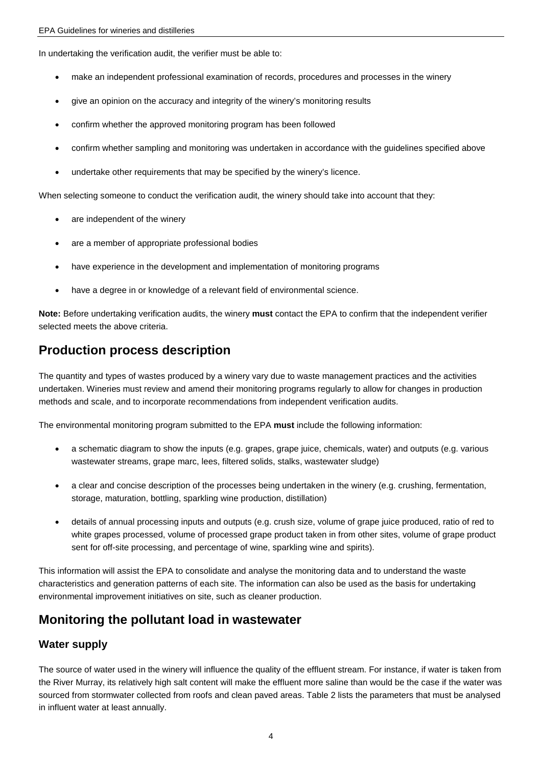In undertaking the verification audit, the verifier must be able to:

- • make an independent professional examination of records, procedures and processes in the winery
- • give an opinion on the accuracy and integrity of the winery's monitoring results
- • confirm whether the approved monitoring program has been followed
- • confirm whether sampling and monitoring was undertaken in accordance with the guidelines specified above
- undertake other requirements that may be specified by the winery's licence.

When selecting someone to conduct the verification audit, the winery should take into account that they:

- are independent of the winery
- are a member of appropriate professional bodies
- have experience in the development and implementation of monitoring programs
- have a degree in or knowledge of a relevant field of environmental science.

 **Note:** Before undertaking verification audits, the winery **must** contact the EPA to confirm that the independent verifier selected meets the above criteria.

### <span id="page-7-0"></span>**Production process description**

 The quantity and types of wastes produced by a winery vary due to waste management practices and the activities undertaken. Wineries must review and amend their monitoring programs regularly to allow for changes in production methods and scale, and to incorporate recommendations from independent verification audits.

The environmental monitoring program submitted to the EPA **must** include the following information:

- • a schematic diagram to show the inputs (e.g. grapes, grape juice, chemicals, water) and outputs (e.g. various wastewater streams, grape marc, lees, filtered solids, stalks, wastewater sludge)
- • a clear and concise description of the processes being undertaken in the winery (e.g. crushing, fermentation, storage, maturation, bottling, sparkling wine production, distillation)
- • details of annual processing inputs and outputs (e.g. crush size, volume of grape juice produced, ratio of red to white grapes processed, volume of processed grape product taken in from other sites, volume of grape product sent for off-site processing, and percentage of wine, sparkling wine and spirits).

 This information will assist the EPA to consolidate and analyse the monitoring data and to understand the waste characteristics and generation patterns of each site. The information can also be used as the basis for undertaking environmental improvement initiatives on site, such as cleaner production.

### <span id="page-7-1"></span> **Monitoring the pollutant load in wastewater**

#### <span id="page-7-2"></span>**Water supply**

 The source of water used in the winery will influence the quality of the effluent stream. For instance, if water is taken from the River Murray, its relatively high salt content will make the effluent more saline than would be the case if the water was sourced from stormwater collected from roofs and clean paved areas. Table 2 lists the parameters that must be analysed in influent water at least annually.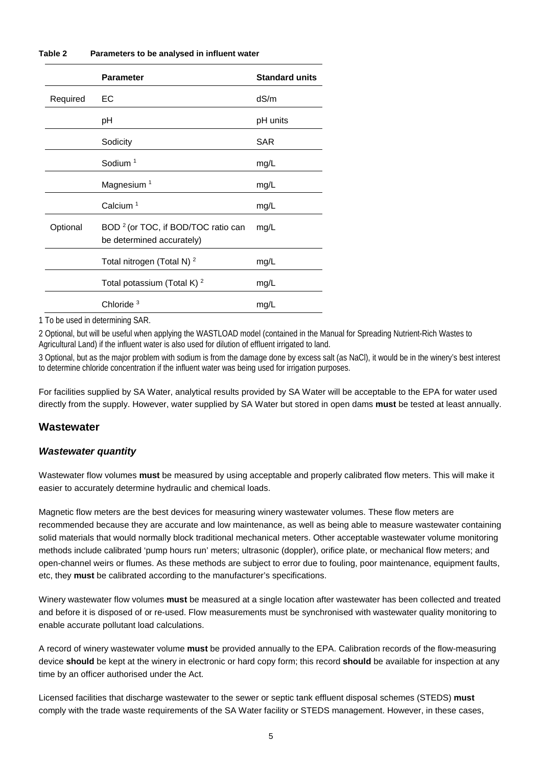#### <span id="page-8-1"></span>**Table 2 Parameters to be analysed in influent water**

|          | <b>Parameter</b>                                                            | <b>Standard units</b> |
|----------|-----------------------------------------------------------------------------|-----------------------|
| Required | EC.                                                                         | dS/m                  |
|          | рH                                                                          | pH units              |
|          | Sodicity                                                                    | <b>SAR</b>            |
|          | Sodium $1$                                                                  | mg/L                  |
|          | Magnesium <sup>1</sup>                                                      | mg/L                  |
|          | Calcium <sup>1</sup>                                                        | mg/L                  |
| Optional | BOD <sup>2</sup> (or TOC, if BOD/TOC ratio can<br>be determined accurately) | mg/L                  |
|          | Total nitrogen (Total N) <sup>2</sup>                                       | mg/L                  |
|          | Total potassium (Total K) $^2$                                              | mg/L                  |
|          | Chloride $3$                                                                | mg/L                  |

1 To be used in determining SAR.

2 Optional, but will be useful when applying the WASTLOAD model (contained in the Manual for Spreading Nutrient-Rich Wastes to Agricultural Land) if the influent water is also used for dilution of effluent irrigated to land.

3 Optional, but as the major problem with sodium is from the damage done by excess salt (as NaCl), it would be in the winery's best interest to determine chloride concentration if the influent water was being used for irrigation purposes.

 For facilities supplied by SA Water, analytical results provided by SA Water will be acceptable to the EPA for water used directly from the supply. However, water supplied by SA Water but stored in open dams **must** be tested at least annually.

#### <span id="page-8-0"></span>**Wastewater**

#### *Wastewater quantity*

 Wastewater flow volumes **must** be measured by using acceptable and properly calibrated flow meters. This will make it easier to accurately determine hydraulic and chemical loads.

 Magnetic flow meters are the best devices for measuring winery wastewater volumes. These flow meters are recommended because they are accurate and low maintenance, as well as being able to measure wastewater containing solid materials that would normally block traditional mechanical meters. Other acceptable wastewater volume monitoring methods include calibrated 'pump hours run' meters; ultrasonic (doppler), orifice plate, or mechanical flow meters; and open-channel weirs or flumes. As these methods are subject to error due to fouling, poor maintenance, equipment faults, etc, they **must** be calibrated according to the manufacturer's specifications.

 Winery wastewater flow volumes **must** be measured at a single location after wastewater has been collected and treated and before it is disposed of or re-used. Flow measurements must be synchronised with wastewater quality monitoring to enable accurate pollutant load calculations.

 A record of winery wastewater volume **must** be provided annually to the EPA. Calibration records of the flow-measuring device **should** be kept at the winery in electronic or hard copy form; this record **should** be available for inspection at any time by an officer authorised under the Act.

 Licensed facilities that discharge wastewater to the sewer or septic tank effluent disposal schemes (STEDS) **must**  comply with the trade waste requirements of the SA Water facility or STEDS management. However, in these cases,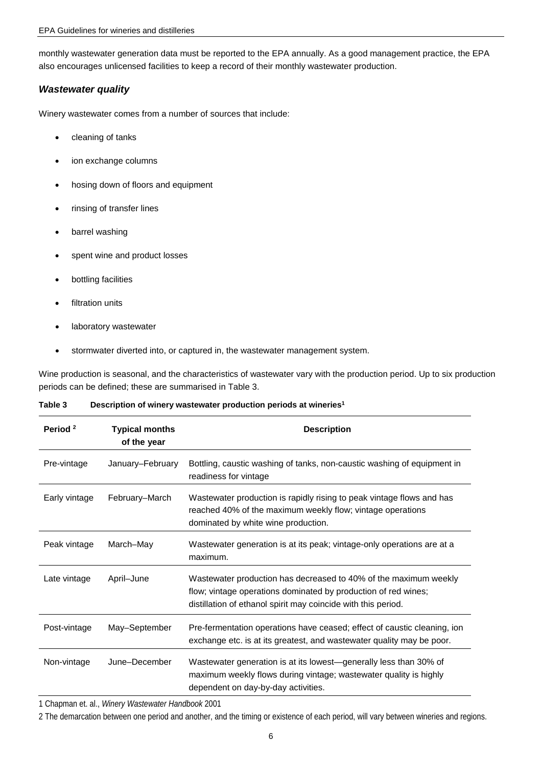monthly wastewater generation data must be reported to the EPA annually. As a good management practice, the EPA also encourages unlicensed facilities to keep a record of their monthly wastewater production.

#### *Wastewater quality*

Winery wastewater comes from a number of sources that include:

- cleaning of tanks
- ion exchange columns
- hosing down of floors and equipment
- rinsing of transfer lines
- barrel washing
- spent wine and product losses
- bottling facilities
- filtration units
- laboratory wastewater
- stormwater diverted into, or captured in, the wastewater management system.

 Wine production is seasonal, and the characteristics of wastewater vary with the production period. Up to six production periods can be defined; these are summarised in Table 3.

<span id="page-9-0"></span>

| Table 3 | Description of winery wastewater production periods at wineries <sup>1</sup> |
|---------|------------------------------------------------------------------------------|
|---------|------------------------------------------------------------------------------|

| Period <sup>2</sup> | <b>Typical months</b><br>of the year | <b>Description</b>                                                                                                                                                                                  |
|---------------------|--------------------------------------|-----------------------------------------------------------------------------------------------------------------------------------------------------------------------------------------------------|
| Pre-vintage         | January-February                     | Bottling, caustic washing of tanks, non-caustic washing of equipment in<br>readiness for vintage                                                                                                    |
| Early vintage       | February-March                       | Wastewater production is rapidly rising to peak vintage flows and has<br>reached 40% of the maximum weekly flow; vintage operations<br>dominated by white wine production.                          |
| Peak vintage        | March-May                            | Wastewater generation is at its peak; vintage-only operations are at a<br>maximum.                                                                                                                  |
| Late vintage        | April-June                           | Wastewater production has decreased to 40% of the maximum weekly<br>flow; vintage operations dominated by production of red wines;<br>distillation of ethanol spirit may coincide with this period. |
| Post-vintage        | May-September                        | Pre-fermentation operations have ceased; effect of caustic cleaning, ion<br>exchange etc. is at its greatest, and wastewater quality may be poor.                                                   |
| Non-vintage         | June-December                        | Wastewater generation is at its lowest—generally less than 30% of<br>maximum weekly flows during vintage; wastewater quality is highly<br>dependent on day-by-day activities.                       |

1 Chapman et. al., *Winery Wastewater Handbook* 2001

2 The demarcation between one period and another, and the timing or existence of each period, will vary between wineries and regions.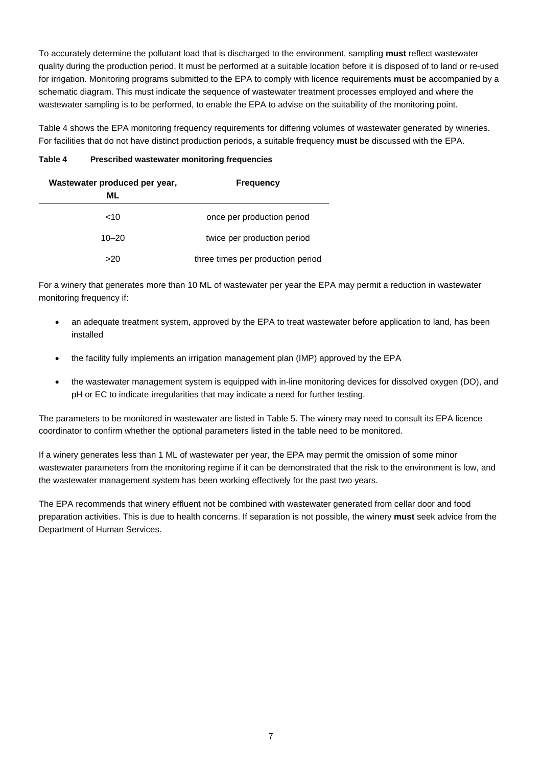To accurately determine the pollutant load that is discharged to the environment, sampling **must** reflect wastewater quality during the production period. It must be performed at a suitable location before it is disposed of to land or re-used for irrigation. Monitoring programs submitted to the EPA to comply with licence requirements **must** be accompanied by a schematic diagram. This must indicate the sequence of wastewater treatment processes employed and where the wastewater sampling is to be performed, to enable the EPA to advise on the suitability of the monitoring point.

 Table 4 shows the EPA monitoring frequency requirements for differing volumes of wastewater generated by wineries. For facilities that do not have distinct production periods, a suitable frequency **must** be discussed with the EPA.

#### <span id="page-10-0"></span>**Table 4 Prescribed wastewater monitoring frequencies**

| Wastewater produced per year,<br>ML | <b>Frequency</b>                  |
|-------------------------------------|-----------------------------------|
| ~10                                 | once per production period        |
| $10 - 20$                           | twice per production period       |
| >20                                 | three times per production period |

 For a winery that generates more than 10 ML of wastewater per year the EPA may permit a reduction in wastewater monitoring frequency if:

- • an adequate treatment system, approved by the EPA to treat wastewater before application to land, has been installed
- the facility fully implements an irrigation management plan (IMP) approved by the EPA
- the wastewater management system is equipped with in-line monitoring devices for dissolved oxygen (DO), and pH or EC to indicate irregularities that may indicate a need for further testing.

 The parameters to be monitored in wastewater are listed in Table 5. The winery may need to consult its EPA licence coordinator to confirm whether the optional parameters listed in the table need to be monitored.

 If a winery generates less than 1 ML of wastewater per year, the EPA may permit the omission of some minor wastewater parameters from the monitoring regime if it can be demonstrated that the risk to the environment is low, and the wastewater management system has been working effectively for the past two years.

 The EPA recommends that winery effluent not be combined with wastewater generated from cellar door and food preparation activities. This is due to health concerns. If separation is not possible, the winery **must** seek advice from the Department of Human Services.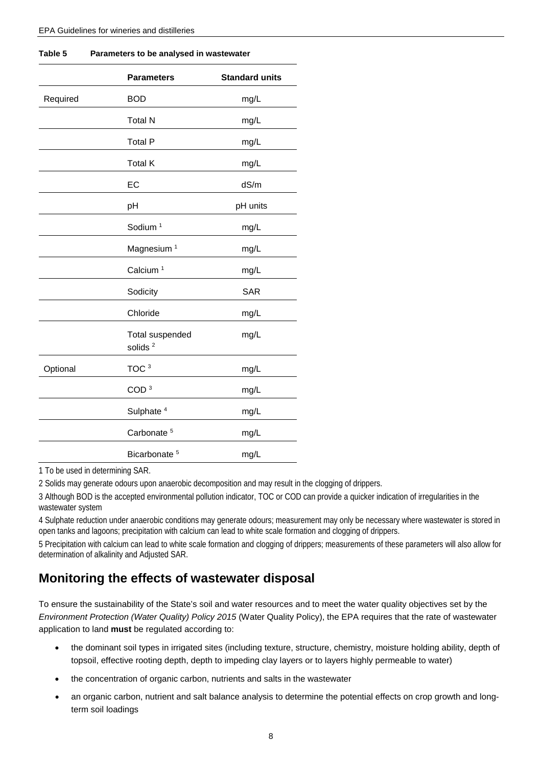|          | <b>Parameters</b>                      | <b>Standard units</b> |
|----------|----------------------------------------|-----------------------|
| Required | <b>BOD</b>                             | mg/L                  |
|          | <b>Total N</b>                         | mg/L                  |
|          | <b>Total P</b>                         | mg/L                  |
|          | <b>Total K</b>                         | mg/L                  |
|          | EC                                     | dS/m                  |
|          | pH                                     | pH units              |
|          | Sodium <sup>1</sup>                    | mg/L                  |
|          | Magnesium <sup>1</sup>                 | mg/L                  |
|          | Calcium <sup>1</sup>                   | mg/L                  |
|          | Sodicity                               | <b>SAR</b>            |
|          | Chloride                               | mg/L                  |
|          | Total suspended<br>solids <sup>2</sup> | mg/L                  |
| Optional | TOC <sup>3</sup>                       | mg/L                  |
|          | COD <sup>3</sup>                       | mg/L                  |
|          | Sulphate <sup>4</sup>                  | mg/L                  |
|          | Carbonate <sup>5</sup>                 | mg/L                  |
|          | Bicarbonate <sup>5</sup>               | mg/L                  |

<span id="page-11-1"></span>

| Table 5 | Parameters to be analysed in wastewater |
|---------|-----------------------------------------|
|---------|-----------------------------------------|

1 To be used in determining SAR.

2 Solids may generate odours upon anaerobic decomposition and may result in the clogging of drippers.

3 Although BOD is the accepted environmental pollution indicator, TOC or COD can provide a quicker indication of irregularities in the wastewater system

4 Sulphate reduction under anaerobic conditions may generate odours; measurement may only be necessary where wastewater is stored in open tanks and lagoons; precipitation with calcium can lead to white scale formation and clogging of drippers.

5 Precipitation with calcium can lead to white scale formation and clogging of drippers; measurements of these parameters will also allow for determination of alkalinity and Adjusted SAR.

### <span id="page-11-0"></span>**Monitoring the effects of wastewater disposal**

 To ensure the sustainability of the State's soil and water resources and to meet the water quality objectives set by the  *Environment Protection (Water Quality) Policy 2015* (Water Quality Policy), the EPA requires that the rate of wastewater application to land **must** be regulated according to:

- • the dominant soil types in irrigated sites (including texture, structure, chemistry, moisture holding ability, depth of topsoil, effective rooting depth, depth to impeding clay layers or to layers highly permeable to water)
- the concentration of organic carbon, nutrients and salts in the wastewater
- • an organic carbon, nutrient and salt balance analysis to determine the potential effects on crop growth and long-term soil loadings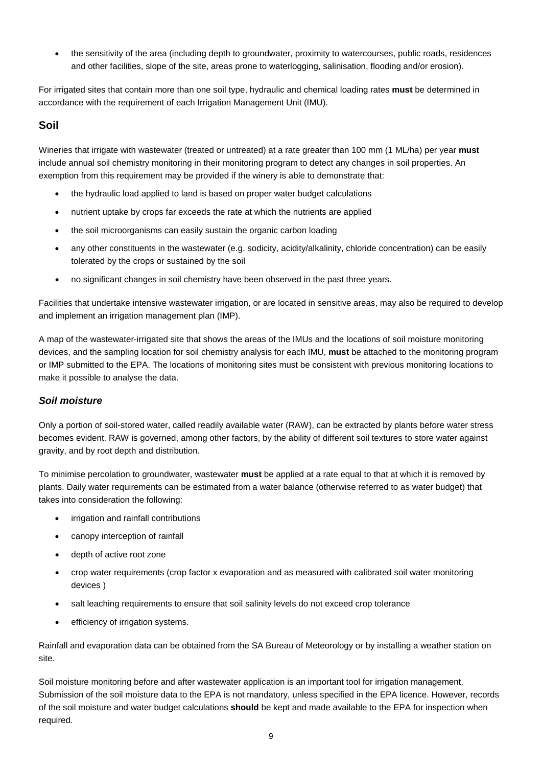• the sensitivity of the area (including depth to groundwater, proximity to watercourses, public roads, residences and other facilities, slope of the site, areas prone to waterlogging, salinisation, flooding and/or erosion).

 For irrigated sites that contain more than one soil type, hydraulic and chemical loading rates **must** be determined in accordance with the requirement of each Irrigation Management Unit (IMU).

#### <span id="page-12-0"></span>**Soil**

 Wineries that irrigate with wastewater (treated or untreated) at a rate greater than 100 mm (1 ML/ha) per year **must**  include annual soil chemistry monitoring in their monitoring program to detect any changes in soil properties. An exemption from this requirement may be provided if the winery is able to demonstrate that:

- the hydraulic load applied to land is based on proper water budget calculations
- nutrient uptake by crops far exceeds the rate at which the nutrients are applied
- the soil microorganisms can easily sustain the organic carbon loading
- • any other constituents in the wastewater (e.g. sodicity, acidity/alkalinity, chloride concentration) can be easily tolerated by the crops or sustained by the soil
- • no significant changes in soil chemistry have been observed in the past three years.

 Facilities that undertake intensive wastewater irrigation, or are located in sensitive areas, may also be required to develop and implement an irrigation management plan (IMP).

 A map of the wastewater-irrigated site that shows the areas of the IMUs and the locations of soil moisture monitoring devices, and the sampling location for soil chemistry analysis for each IMU, **must** be attached to the monitoring program or IMP submitted to the EPA. The locations of monitoring sites must be consistent with previous monitoring locations to make it possible to analyse the data.

#### *Soil moisture*

 Only a portion of soil-stored water, called readily available water (RAW), can be extracted by plants before water stress becomes evident. RAW is governed, among other factors, by the ability of different soil textures to store water against gravity, and by root depth and distribution.

 To minimise percolation to groundwater, wastewater **must** be applied at a rate equal to that at which it is removed by plants. Daily water requirements can be estimated from a water balance (otherwise referred to as water budget) that takes into consideration the following:

- irrigation and rainfall contributions
- canopy interception of rainfall
- • depth of active root zone
- • crop water requirements (crop factor x evaporation and as measured with calibrated soil water monitoring devices )
- salt leaching requirements to ensure that soil salinity levels do not exceed crop tolerance
- • efficiency of irrigation systems.

 Rainfall and evaporation data can be obtained from the SA Bureau of Meteorology or by installing a weather station on site.

 Soil moisture monitoring before and after wastewater application is an important tool for irrigation management. Submission of the soil moisture data to the EPA is not mandatory, unless specified in the EPA licence. However, records of the soil moisture and water budget calculations **should** be kept and made available to the EPA for inspection when required.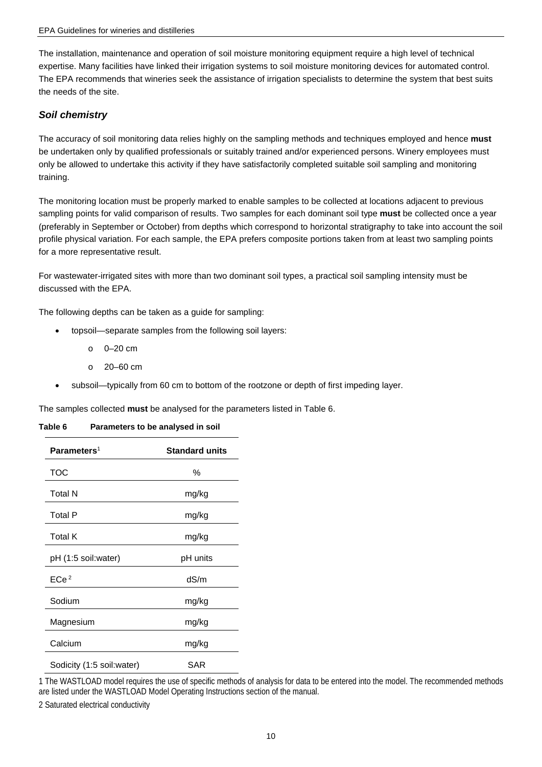The installation, maintenance and operation of soil moisture monitoring equipment require a high level of technical expertise. Many facilities have linked their irrigation systems to soil moisture monitoring devices for automated control. The EPA recommends that wineries seek the assistance of irrigation specialists to determine the system that best suits the needs of the site.

#### *Soil chemistry*

 The accuracy of soil monitoring data relies highly on the sampling methods and techniques employed and hence **must**  be undertaken only by qualified professionals or suitably trained and/or experienced persons. Winery employees must only be allowed to undertake this activity if they have satisfactorily completed suitable soil sampling and monitoring training.

 The monitoring location must be properly marked to enable samples to be collected at locations adjacent to previous sampling points for valid comparison of results. Two samples for each dominant soil type **must** be collected once a year (preferably in September or October) from depths which correspond to horizontal stratigraphy to take into account the soil profile physical variation. For each sample, the EPA prefers composite portions taken from at least two sampling points for a more representative result.

 For wastewater-irrigated sites with more than two dominant soil types, a practical soil sampling intensity must be discussed with the EPA.

The following depths can be taken as a guide for sampling:

- • topsoil—separate samples from the following soil layers:
	- o 0–20 cm
	- o 20–60 cm
- subsoil—typically from 60 cm to bottom of the rootzone or depth of first impeding layer.

The samples collected **must** be analysed for the parameters listed in Table 6.

<span id="page-13-0"></span>

| Parameters <sup>1</sup>   | <b>Standard units</b> |
|---------------------------|-----------------------|
| TOC                       | ℅                     |
| Total N                   | mg/kg                 |
| <b>Total P</b>            | mg/kg                 |
| <b>Total K</b>            | mg/kg                 |
| pH (1:5 soil:water)       | pH units              |
| ECe <sup>2</sup>          | dS/m                  |
| Sodium                    | mg/kg                 |
| Magnesium                 | mg/kg                 |
| Calcium                   | mg/kg                 |
| Sodicity (1:5 soil:water) | SAR                   |

1 The WASTLOAD model requires the use of specific methods of analysis for data to be entered into the model. The recommended methods are listed under the WASTLOAD Model Operating Instructions section of the manual.

2 Saturated electrical conductivity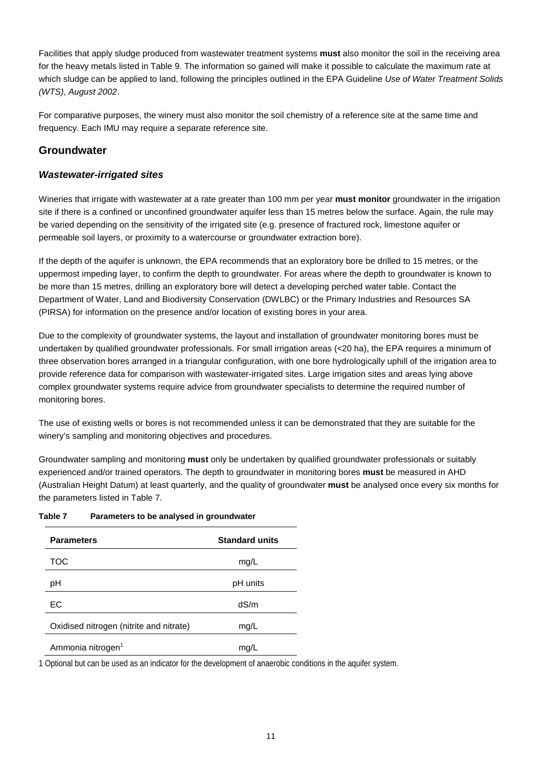Facilities that apply sludge produced from wastewater treatment systems **must** also monitor the soil in the receiving area for the heavy metals listed in Table 9. The information so gained will make it possible to calculate the maximum rate at  which sludge can be applied to land, following the principles outlined in the EPA Guideline *Use of Water Treatment Solids (WTS)*, *August 2002*.

 For comparative purposes, the winery must also monitor the soil chemistry of a reference site at the same time and frequency. Each IMU may require a separate reference site.

### <span id="page-14-0"></span>**Groundwater**

#### *Wastewater-irrigated sites*

 Wineries that irrigate with wastewater at a rate greater than 100 mm per year **must monitor** groundwater in the irrigation site if there is a confined or unconfined groundwater aquifer less than 15 metres below the surface. Again, the rule may be varied depending on the sensitivity of the irrigated site (e.g. presence of fractured rock, limestone aquifer or permeable soil layers, or proximity to a watercourse or groundwater extraction bore).

 If the depth of the aquifer is unknown, the EPA recommends that an exploratory bore be drilled to 15 metres, or the uppermost impeding layer, to confirm the depth to groundwater. For areas where the depth to groundwater is known to be more than 15 metres, drilling an exploratory bore will detect a developing perched water table. Contact the Department of Water, Land and Biodiversity Conservation (DWLBC) or the Primary Industries and Resources SA (PIRSA) for information on the presence and/or location of existing bores in your area.

 Due to the complexity of groundwater systems, the layout and installation of groundwater monitoring bores must be undertaken by qualified groundwater professionals. For small irrigation areas (<20 ha), the EPA requires a minimum of three observation bores arranged in a triangular configuration, with one bore hydrologically uphill of the irrigation area to provide reference data for comparison with wastewater-irrigated sites. Large irrigation sites and areas lying above complex groundwater systems require advice from groundwater specialists to determine the required number of monitoring bores.

 The use of existing wells or bores is not recommended unless it can be demonstrated that they are suitable for the winery's sampling and monitoring objectives and procedures.

 Groundwater sampling and monitoring **must** only be undertaken by qualified groundwater professionals or suitably (Australian Height Datum) at least quarterly, and the quality of groundwater **must** be analysed once every six months for experienced and/or trained operators. The depth to groundwater in monitoring bores **must** be measured in AHD the parameters listed in Table 7.

| <b>Parameters</b>                       | <b>Standard units</b> |
|-----------------------------------------|-----------------------|
| TOC                                     | mg/L                  |
| рH                                      | pH units              |
| ЕC                                      | dS/m                  |
| Oxidised nitrogen (nitrite and nitrate) | mg/L                  |
| Ammonia nitrogen <sup>1</sup>           | mq/                   |

#### <span id="page-14-1"></span>**Table 7 Parameters to be analysed in groundwater**

1 Optional but can be used as an indicator for the development of anaerobic conditions in the aquifer system.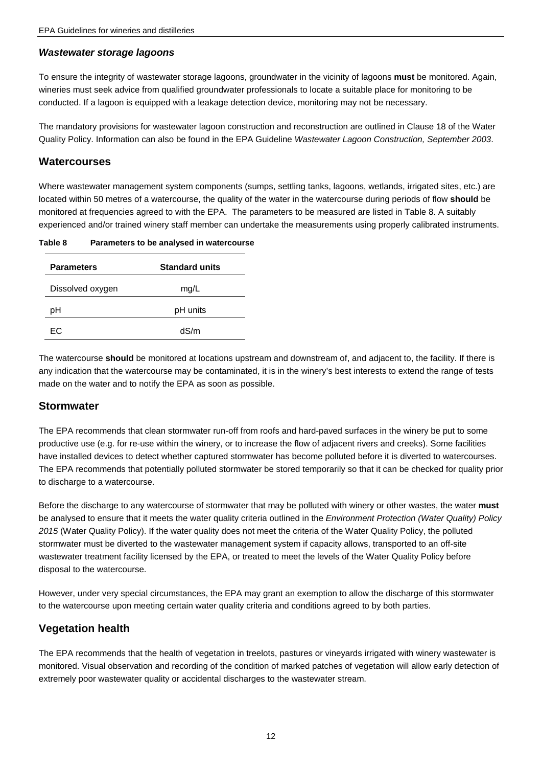#### *Wastewater storage lagoons*

 To ensure the integrity of wastewater storage lagoons, groundwater in the vicinity of lagoons **must** be monitored. Again, wineries must seek advice from qualified groundwater professionals to locate a suitable place for monitoring to be conducted. If a lagoon is equipped with a leakage detection device, monitoring may not be necessary.

 The mandatory provisions for wastewater lagoon construction and reconstruction are outlined in Clause 18 of the Water Quality Policy. Information can also be found in the EPA Guideline *Wastewater Lagoon Construction, September 2003*.

#### <span id="page-15-0"></span>**Watercourses**

 Where wastewater management system components (sumps, settling tanks, lagoons, wetlands, irrigated sites, etc.) are located within 50 metres of a watercourse, the quality of the water in the watercourse during periods of flow **should** be monitored at frequencies agreed to with the EPA. The parameters to be measured are listed in Table 8. A suitably experienced and/or trained winery staff member can undertake the measurements using properly calibrated instruments.

<span id="page-15-3"></span>

| Parameters to be analysed in watercourse |
|------------------------------------------|
|                                          |

| <b>Parameters</b> | <b>Standard units</b> |
|-------------------|-----------------------|
| Dissolved oxygen  | mg/L                  |
| рH                | pH units              |
| FC.               | dS/m                  |

 The watercourse **should** be monitored at locations upstream and downstream of, and adjacent to, the facility. If there is any indication that the watercourse may be contaminated, it is in the winery's best interests to extend the range of tests made on the water and to notify the EPA as soon as possible.

#### <span id="page-15-1"></span>**Stormwater**

 The EPA recommends that clean stormwater run-off from roofs and hard-paved surfaces in the winery be put to some productive use (e.g. for re-use within the winery, or to increase the flow of adjacent rivers and creeks). Some facilities have installed devices to detect whether captured stormwater has become polluted before it is diverted to watercourses. The EPA recommends that potentially polluted stormwater be stored temporarily so that it can be checked for quality prior to discharge to a watercourse.

 Before the discharge to any watercourse of stormwater that may be polluted with winery or other wastes, the water **must**  be analysed to ensure that it meets the water quality criteria outlined in the *Environment Protection (Water Quality) Policy 2015* (Water Quality Policy). If the water quality does not meet the criteria of the Water Quality Policy, the polluted stormwater must be diverted to the wastewater management system if capacity allows, transported to an off-site wastewater treatment facility licensed by the EPA, or treated to meet the levels of the Water Quality Policy before disposal to the watercourse.

 However, under very special circumstances, the EPA may grant an exemption to allow the discharge of this stormwater to the watercourse upon meeting certain water quality criteria and conditions agreed to by both parties.

#### <span id="page-15-2"></span>**Vegetation health**

 The EPA recommends that the health of vegetation in treelots, pastures or vineyards irrigated with winery wastewater is monitored. Visual observation and recording of the condition of marked patches of vegetation will allow early detection of extremely poor wastewater quality or accidental discharges to the wastewater stream.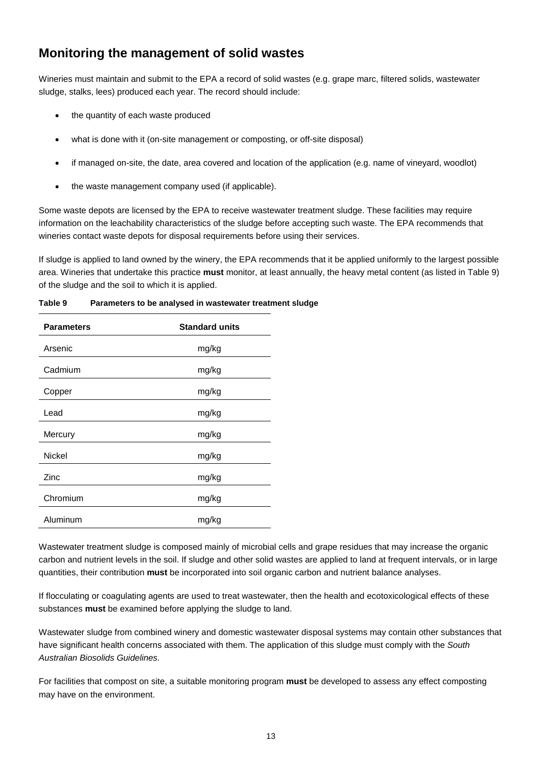# <span id="page-16-0"></span> **Monitoring the management of solid wastes**

 Wineries must maintain and submit to the EPA a record of solid wastes (e.g. grape marc, filtered solids, wastewater sludge, stalks, lees) produced each year. The record should include:

- the quantity of each waste produced
- what is done with it (on-site management or composting, or off-site disposal)
- if managed on-site, the date, area covered and location of the application (e.g. name of vineyard, woodlot)
- the waste management company used (if applicable).

 Some waste depots are licensed by the EPA to receive wastewater treatment sludge. These facilities may require information on the leachability characteristics of the sludge before accepting such waste. The EPA recommends that wineries contact waste depots for disposal requirements before using their services.

 If sludge is applied to land owned by the winery, the EPA recommends that it be applied uniformly to the largest possible area. Wineries that undertake this practice **must** monitor, at least annually, the heavy metal content (as listed in Table 9) of the sludge and the soil to which it is applied.

| <b>Parameters</b> | <b>Standard units</b> |
|-------------------|-----------------------|
| Arsenic           | mg/kg                 |
| Cadmium           | mg/kg                 |
| Copper            | mg/kg                 |
| Lead              | mg/kg                 |
| Mercury           | mg/kg                 |
| <b>Nickel</b>     | mg/kg                 |
| Zinc              | mg/kg                 |
| Chromium          | mg/kg                 |
| Aluminum          | mg/kg                 |

<span id="page-16-1"></span>**Table 9 Parameters to be analysed in wastewater treatment sludge** 

 Wastewater treatment sludge is composed mainly of microbial cells and grape residues that may increase the organic carbon and nutrient levels in the soil. If sludge and other solid wastes are applied to land at frequent intervals, or in large quantities, their contribution **must** be incorporated into soil organic carbon and nutrient balance analyses.

 If flocculating or coagulating agents are used to treat wastewater, then the health and ecotoxicological effects of these substances **must** be examined before applying the sludge to land.

 Wastewater sludge from combined winery and domestic wastewater disposal systems may contain other substances that have significant health concerns associated with them. The application of this sludge must comply with the *South Australian Biosolids Guidelines.* 

 For facilities that compost on site, a suitable monitoring program **must** be developed to assess any effect composting may have on the environment.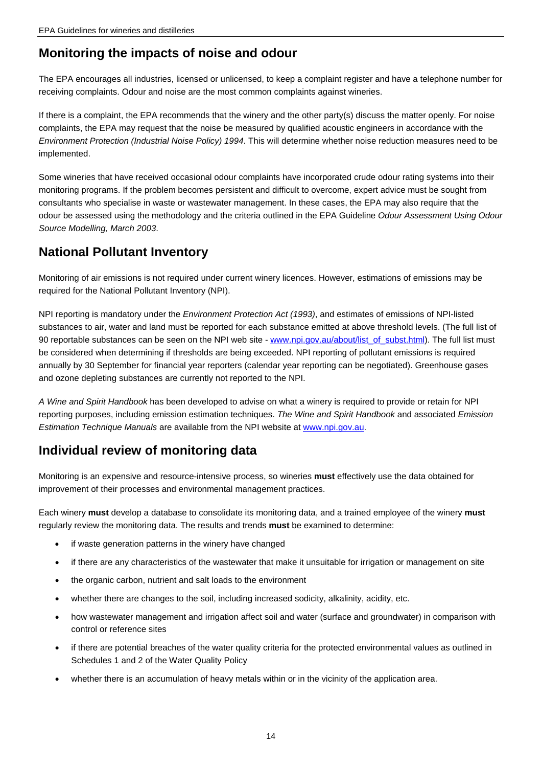### <span id="page-17-0"></span>**Monitoring the impacts of noise and odour**

 The EPA encourages all industries, licensed or unlicensed, to keep a complaint register and have a telephone number for receiving complaints. Odour and noise are the most common complaints against wineries.

 If there is a complaint, the EPA recommends that the winery and the other party(s) discuss the matter openly. For noise complaints, the EPA may request that the noise be measured by qualified acoustic engineers in accordance with the *Environment Protection (Industrial Noise Policy) 1994*. This will determine whether noise reduction measures need to be implemented.

 Some wineries that have received occasional odour complaints have incorporated crude odour rating systems into their monitoring programs. If the problem becomes persistent and difficult to overcome, expert advice must be sought from consultants who specialise in waste or wastewater management. In these cases, the EPA may also require that the odour be assessed using the methodology and the criteria outlined in the EPA Guideline *Odour Assessment Using Odour Source Modelling, March 2003*.

### <span id="page-17-1"></span>**National Pollutant Inventory**

 Monitoring of air emissions is not required under current winery licences. However, estimations of emissions may be required for the National Pollutant Inventory (NPI).

 NPI reporting is mandatory under the *Environment Protection Act (1993)*, and estimates of emissions of NPI-listed substances to air, water and land must be reported for each substance emitted at above threshold levels. (The full list of be considered when determining if thresholds are being exceeded. NPI reporting of pollutant emissions is required annually by 30 September for financial year reporters (calendar year reporting can be negotiated). Greenhouse gases and ozone depleting substances are currently not reported to the NPI. 90 reportable substances can be seen on the NPI web site - [www.npi.gov.au/about/list\\_of\\_subst.html\)](http://www.npi.gov.au/about/list_of_subst.html). The full list must

 *A Wine and Spirit Handbook* has been developed to advise on what a winery is required to provide or retain for NPI reporting purposes, including emission estimation techniques. *The Wine and Spirit Handbook* and associated *Emission Estimation Technique Manuals* are available from the NPI website at [www.npi.gov.au.](http://www.npi.gov.au/)

### <span id="page-17-2"></span> **Individual review of monitoring data**

 improvement of their processes and environmental management practices. Monitoring is an expensive and resource-intensive process, so wineries **must** effectively use the data obtained for

 Each winery **must** develop a database to consolidate its monitoring data, and a trained employee of the winery **must**  regularly review the monitoring data. The results and trends **must** be examined to determine:

- if waste generation patterns in the winery have changed
- • if there are any characteristics of the wastewater that make it unsuitable for irrigation or management on site
- the organic carbon, nutrient and salt loads to the environment
- • whether there are changes to the soil, including increased sodicity, alkalinity, acidity, etc.
- • how wastewater management and irrigation affect soil and water (surface and groundwater) in comparison with control or reference sites
- • if there are potential breaches of the water quality criteria for the protected environmental values as outlined in Schedules 1 and 2 of the Water Quality Policy
- whether there is an accumulation of heavy metals within or in the vicinity of the application area.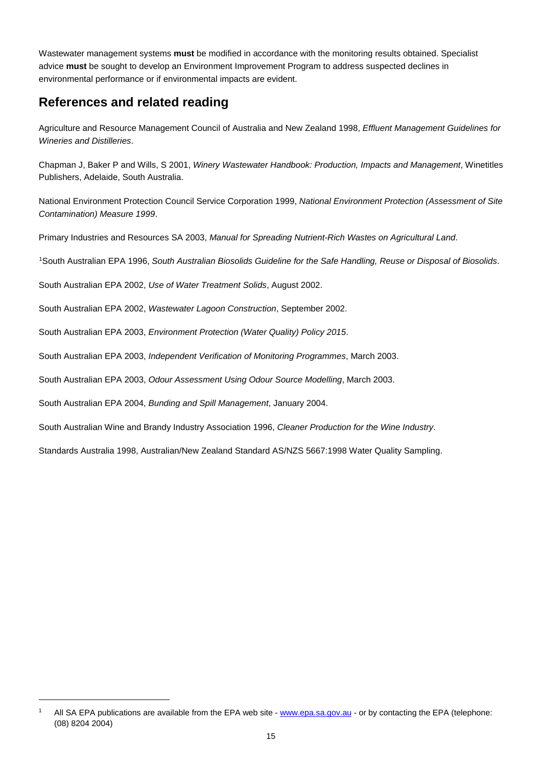Wastewater management systems **must** be modified in accordance with the monitoring results obtained. Specialist advice **must** be sought to develop an Environment Improvement Program to address suspected declines in environmental performance or if environmental impacts are evident.

# <span id="page-18-0"></span> **References and related reading**

 Agriculture and Resource Management Council of Australia and New Zealand 1998, *Effluent Management Guidelines for Wineries and Distilleries*.

 Chapman J, Baker P and Wills, S 2001, *Winery Wastewater Handbook: Production, Impacts and Management*, Winetitles Publishers, Adelaide, South Australia.

 National Environment Protection Council Service Corporation 1999, *National Environment Protection (Assessment of Site Contamination) Measure 1999*.

Primary Industries and Resources SA 2003, *Manual for Spreading Nutrient-Rich Wastes on Agricultural Land*.

[1](#page-19-1) South Australian EPA 1996, *South Australian Biosolids Guideline for the Safe Handling, Reuse or Disposal of Biosolids*.

South Australian EPA 2002, *Use of Water Treatment Solids*, August 2002.

South Australian EPA 2002, *Wastewater Lagoon Construction*, September 2002.

South Australian EPA 2003, *Environment Protection (Water Quality) Policy 2015*.

South Australian EPA 2003, *Independent Verification of Monitoring Programmes*, March 2003.

South Australian EPA 2003, *Odour Assessment Using Odour Source Modelling*, March 2003.

South Australian EPA 2004, *Bunding and Spill Management*, January 2004.

1

South Australian Wine and Brandy Industry Association 1996, *Cleaner Production for the Wine Industry*.

Standards Australia 1998, Australian/New Zealand Standard AS/NZS 5667:1998 Water Quality Sampling.

 1 All SA EPA publications are available from the EPA web site - [www.epa.sa.gov.au](http://www.epa.sa.gov.au/) - or by contacting the EPA (telephone: (08) 8204 2004)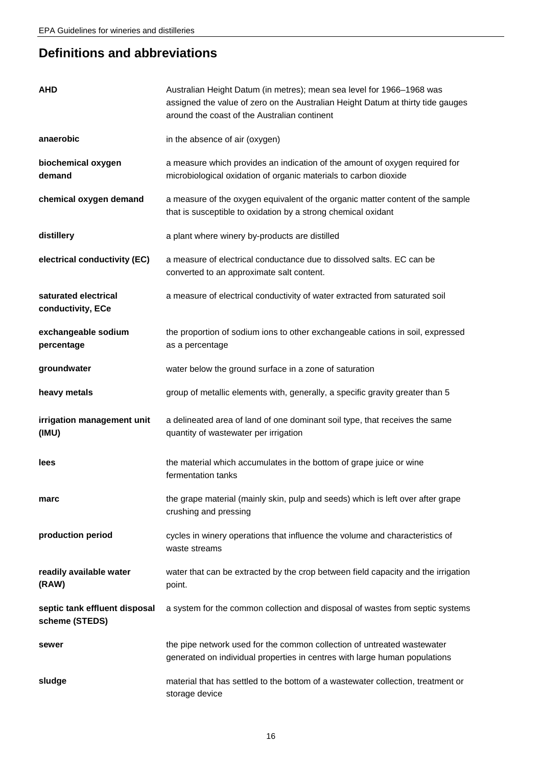# <span id="page-19-0"></span>**Definitions and abbreviations**

<span id="page-19-1"></span>

| <b>AHD</b>                                      | Australian Height Datum (in metres); mean sea level for 1966-1968 was<br>assigned the value of zero on the Australian Height Datum at thirty tide gauges<br>around the coast of the Australian continent |
|-------------------------------------------------|----------------------------------------------------------------------------------------------------------------------------------------------------------------------------------------------------------|
| anaerobic                                       | in the absence of air (oxygen)                                                                                                                                                                           |
| biochemical oxygen<br>demand                    | a measure which provides an indication of the amount of oxygen required for<br>microbiological oxidation of organic materials to carbon dioxide                                                          |
| chemical oxygen demand                          | a measure of the oxygen equivalent of the organic matter content of the sample<br>that is susceptible to oxidation by a strong chemical oxidant                                                          |
| distillery                                      | a plant where winery by-products are distilled                                                                                                                                                           |
| electrical conductivity (EC)                    | a measure of electrical conductance due to dissolved salts. EC can be<br>converted to an approximate salt content.                                                                                       |
| saturated electrical<br>conductivity, ECe       | a measure of electrical conductivity of water extracted from saturated soil                                                                                                                              |
| exchangeable sodium<br>percentage               | the proportion of sodium ions to other exchangeable cations in soil, expressed<br>as a percentage                                                                                                        |
| groundwater                                     | water below the ground surface in a zone of saturation                                                                                                                                                   |
| heavy metals                                    | group of metallic elements with, generally, a specific gravity greater than 5                                                                                                                            |
| irrigation management unit<br>(IMU)             | a delineated area of land of one dominant soil type, that receives the same<br>quantity of wastewater per irrigation                                                                                     |
| lees                                            | the material which accumulates in the bottom of grape juice or wine<br>fermentation tanks                                                                                                                |
| marc                                            | the grape material (mainly skin, pulp and seeds) which is left over after grape<br>crushing and pressing                                                                                                 |
| production period                               | cycles in winery operations that influence the volume and characteristics of<br>waste streams                                                                                                            |
| readily available water<br>(RAW)                | water that can be extracted by the crop between field capacity and the irrigation<br>point.                                                                                                              |
| septic tank effluent disposal<br>scheme (STEDS) | a system for the common collection and disposal of wastes from septic systems                                                                                                                            |
| sewer                                           | the pipe network used for the common collection of untreated wastewater<br>generated on individual properties in centres with large human populations                                                    |
| sludge                                          | material that has settled to the bottom of a wastewater collection, treatment or<br>storage device                                                                                                       |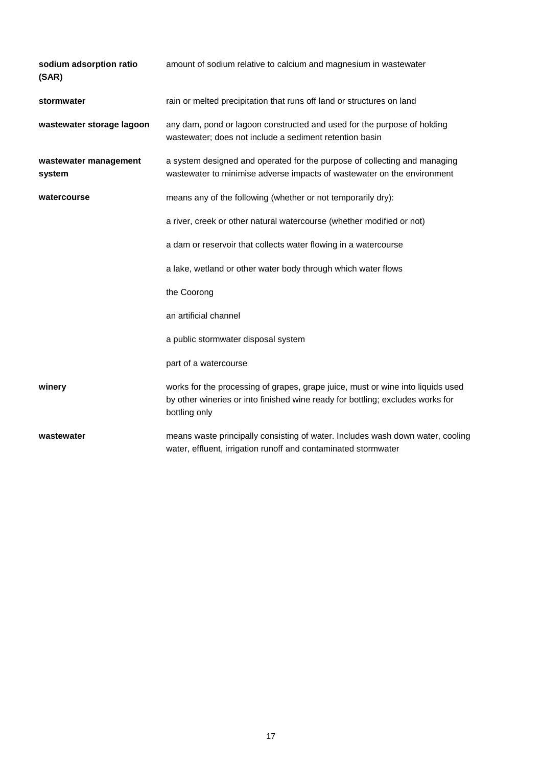| sodium adsorption ratio<br>(SAR) | amount of sodium relative to calcium and magnesium in wastewater                                                                                                                   |
|----------------------------------|------------------------------------------------------------------------------------------------------------------------------------------------------------------------------------|
| stormwater                       | rain or melted precipitation that runs off land or structures on land                                                                                                              |
| wastewater storage lagoon        | any dam, pond or lagoon constructed and used for the purpose of holding<br>wastewater; does not include a sediment retention basin                                                 |
| wastewater management<br>system  | a system designed and operated for the purpose of collecting and managing<br>wastewater to minimise adverse impacts of wastewater on the environment                               |
| watercourse                      | means any of the following (whether or not temporarily dry):                                                                                                                       |
|                                  | a river, creek or other natural watercourse (whether modified or not)                                                                                                              |
|                                  | a dam or reservoir that collects water flowing in a watercourse                                                                                                                    |
|                                  | a lake, wetland or other water body through which water flows                                                                                                                      |
|                                  | the Coorong                                                                                                                                                                        |
|                                  | an artificial channel                                                                                                                                                              |
|                                  | a public stormwater disposal system                                                                                                                                                |
|                                  | part of a watercourse                                                                                                                                                              |
| winery                           | works for the processing of grapes, grape juice, must or wine into liquids used<br>by other wineries or into finished wine ready for bottling; excludes works for<br>bottling only |
| wastewater                       | means waste principally consisting of water. Includes wash down water, cooling<br>water, effluent, irrigation runoff and contaminated stormwater                                   |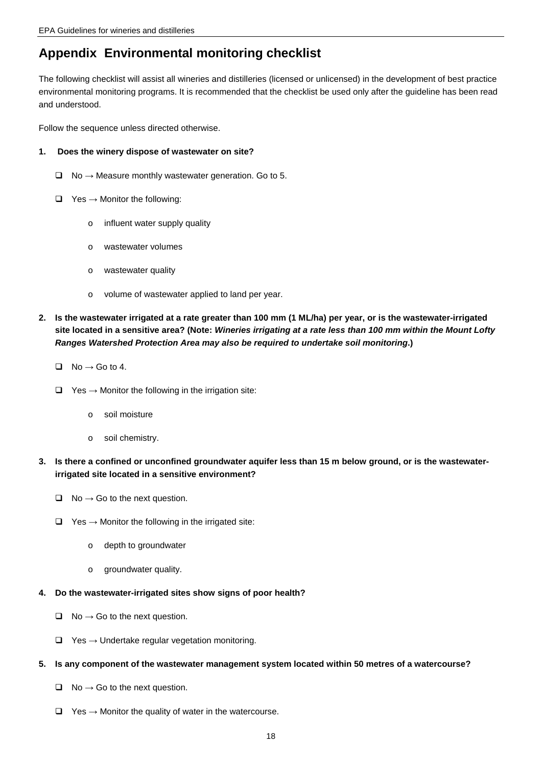### <span id="page-21-0"></span>**Appendix Environmental monitoring checklist**

 The following checklist will assist all wineries and distilleries (licensed or unlicensed) in the development of best practice environmental monitoring programs. It is recommended that the checklist be used only after the guideline has been read and understood.

Follow the sequence unless directed otherwise.

#### $\mathbf 1$ . **Does the winery dispose of wastewater on site?**

- $\Box$  No  $\rightarrow$  Measure monthly wastewater generation. Go to 5.
- $\Box$  Yes  $\rightarrow$  Monitor the following:
	- $\circ$  influent water supply quality
	- o wastewater volumes
	- o wastewater quality
	- o volume of wastewater applied to land per year.
- **2. Is the wastewater irrigated at a rate greater than 100 mm (1 ML/ha) per year, or is the wastewater-irrigated site located in a sensitive area? (Note:** *Wineries irrigating at a rate less than 100 mm within the Mount Lofty Ranges Watershed Protection Area may also be required to undertake soil monitoring***.)** 
	- $\Box$  No  $\rightarrow$  Go to 4.
	- $\Box$  Yes  $\rightarrow$  Monitor the following in the irrigation site:
		- o soil moisture
		- o soil chemistry.
- **3. Is there a confined or unconfined groundwater aquifer less than 15 m below ground, or is the wastewater- irrigated site located in a sensitive environment?** 
	- $\Box$  No  $\rightarrow$  Go to the next question.
	- $\Box$  Yes  $\rightarrow$  Monitor the following in the irrigated site:
		- o depth to groundwater
		- o groundwater quality.
- **4. Do the wastewater-irrigated sites show signs of poor health?** 
	- $\Box$  No  $\rightarrow$  Go to the next question.
	- $\Box$  Yes  $\rightarrow$  Undertake regular vegetation monitoring.

#### **5. Is any component of the wastewater management system located within 50 metres of a watercourse?**

- $\Box$  No  $\rightarrow$  Go to the next question.
- $\Box$  Yes  $\rightarrow$  Monitor the quality of water in the watercourse.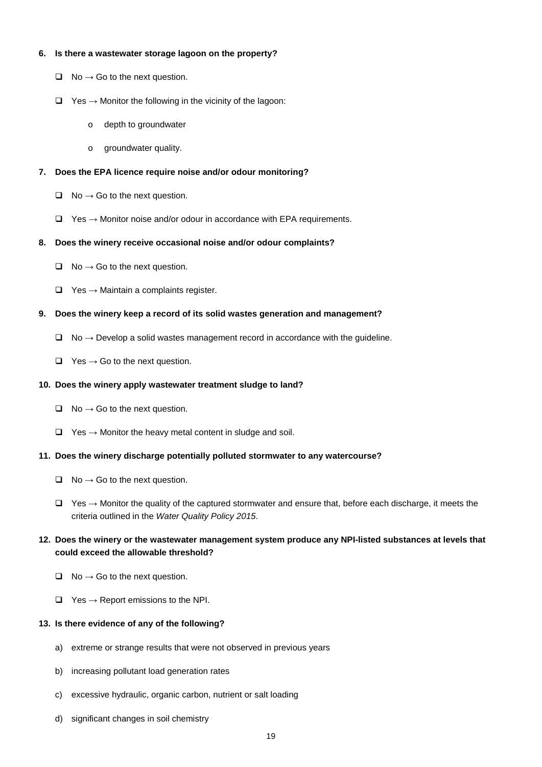#### **6. Is there a wastewater storage lagoon on the property?**

- $\Box$  No  $\rightarrow$  Go to the next question.
- $\Box$  Yes  $\rightarrow$  Monitor the following in the vicinity of the lagoon:
	- o depth to groundwater
	- o groundwater quality.

#### **7. Does the EPA licence require noise and/or odour monitoring?**

- $\Box$  No  $\rightarrow$  Go to the next question.
- $\Box$  Yes  $\rightarrow$  Monitor noise and/or odour in accordance with EPA requirements.

#### **8. Does the winery receive occasional noise and/or odour complaints?**

- $\Box$  No  $\rightarrow$  Go to the next question.
- $\Box$  Yes  $\rightarrow$  Maintain a complaints register.

#### **9. Does the winery keep a record of its solid wastes generation and management?**

- $\Box$  No  $\rightarrow$  Develop a solid wastes management record in accordance with the guideline.
- $\Box$  Yes  $\rightarrow$  Go to the next question.

#### **10. Does the winery apply wastewater treatment sludge to land?**

- $\Box$  No  $\rightarrow$  Go to the next question.
- $\Box$  Yes  $\rightarrow$  Monitor the heavy metal content in sludge and soil.

#### **11. Does the winery discharge potentially polluted stormwater to any watercourse?**

- $\Box$  No  $\rightarrow$  Go to the next question.
- $\Box$  Yes  $\rightarrow$  Monitor the quality of the captured stormwater and ensure that, before each discharge, it meets the  criteria outlined in the *Water Quality Policy 2015*.

#### **12. Does the winery or the wastewater management system produce any NPI-listed substances at levels that could exceed the allowable threshold?**

- $\Box$  No  $\rightarrow$  Go to the next question.
- $\Box$  Yes  $\rightarrow$  Report emissions to the NPI.

#### **13. Is there evidence of any of the following?**

- a) extreme or strange results that were not observed in previous years
- b) increasing pollutant load generation rates
- c) excessive hydraulic, organic carbon, nutrient or salt loading
- d) significant changes in soil chemistry